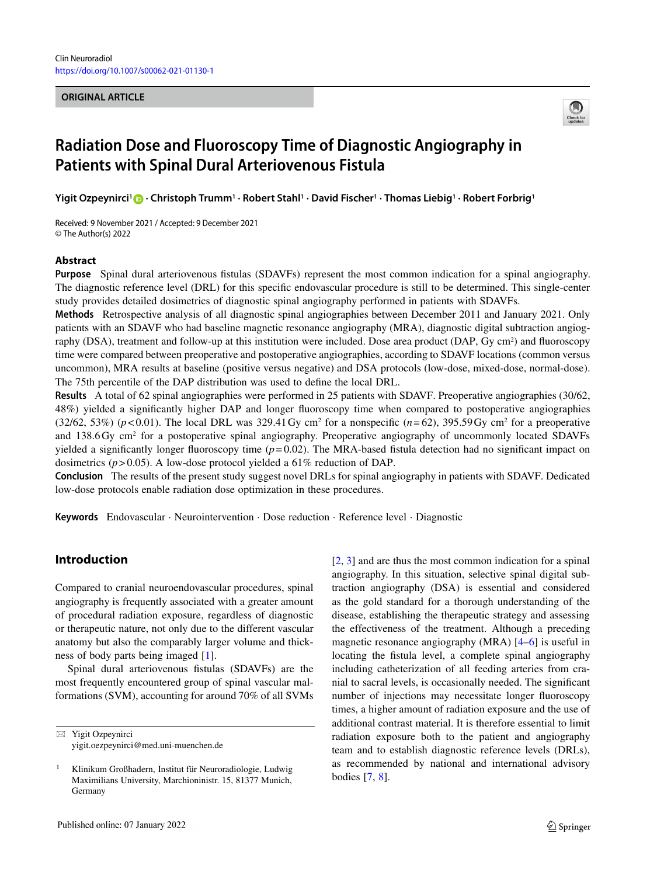#### **ORIGINAL ARTICLE**



# **Radiation Dose and Fluoroscopy Time of Diagnostic Angiography in Patients with Spinal Dural Arteriovenous Fistula**

**Yigit Ozpeynirci1 · Christoph Trumm1 · Robert Stahl1 · David Fischer1 · Thomas Liebig1 · Robert Forbrig1**

Received: 9 November 2021 / Accepted: 9 December 2021 © The Author(s) 2022

#### **Abstract**

**Purpose** Spinal dural arteriovenous fistulas (SDAVFs) represent the most common indication for a spinal angiography. The diagnostic reference level (DRL) for this specific endovascular procedure is still to be determined. This single-center study provides detailed dosimetrics of diagnostic spinal angiography performed in patients with SDAVFs.

**Methods** Retrospective analysis of all diagnostic spinal angiographies between December 2011 and January 2021. Only patients with an SDAVF who had baseline magnetic resonance angiography (MRA), diagnostic digital subtraction angiography (DSA), treatment and follow-up at this institution were included. Dose area product (DAP, Gy cm<sup>2</sup>) and fluoroscopy time were compared between preoperative and postoperative angiographies, according to SDAVF locations (common versus uncommon), MRA results at baseline (positive versus negative) and DSA protocols (low-dose, mixed-dose, normal-dose). The 75th percentile of the DAP distribution was used to define the local DRL.

**Results** A total of 62 spinal angiographies were performed in 25 patients with SDAVF. Preoperative angiographies (30/62, 48%) yielded a significantly higher DAP and longer fluoroscopy time when compared to postoperative angiographies (32/62, 53%) ( $p$ <0.01). The local DRL was 329.41 Gy cm<sup>2</sup> for a nonspecific ( $n=62$ ), 395.59 Gy cm<sup>2</sup> for a preoperative and 138.6 Gy cm<sup>2</sup> for a postoperative spinal angiography. Preoperative angiography of uncommonly located SDAVFs yielded a significantly longer fluoroscopy time  $(p= 0.02)$ . The MRA-based fistula detection had no significant impact on dosimetrics (*p*> 0.05). A low-dose protocol yielded a 61% reduction of DAP.

**Conclusion** The results of the present study suggest novel DRLs for spinal angiography in patients with SDAVF. Dedicated low-dose protocols enable radiation dose optimization in these procedures.

**Keywords** Endovascular · Neurointervention · Dose reduction · Reference level · Diagnostic

## **Introduction**

Compared to cranial neuroendovascular procedures, spinal angiography is frequently associated with a greater amount of procedural radiation exposure, regardless of diagnostic or therapeutic nature, not only due to the different vascular anatomy but also the comparably larger volume and thickness of body parts being imaged [\[1\]](#page-5-0).

Spinal dural arteriovenous fistulas (SDAVFs) are the most frequently encountered group of spinal vascular malformations (SVM), accounting for around 70% of all SVMs

[\[2,](#page-5-1) [3\]](#page-5-2) and are thus the most common indication for a spinal angiography. In this situation, selective spinal digital subtraction angiography (DSA) is essential and considered as the gold standard for a thorough understanding of the disease, establishing the therapeutic strategy and assessing the effectiveness of the treatment. Although a preceding magnetic resonance angiography (MRA) [\[4–](#page-5-3)[6\]](#page-5-4) is useful in locating the fistula level, a complete spinal angiography including catheterization of all feeding arteries from cranial to sacral levels, is occasionally needed. The significant number of injections may necessitate longer fluoroscopy times, a higher amount of radiation exposure and the use of additional contrast material. It is therefore essential to limit radiation exposure both to the patient and angiography team and to establish diagnostic reference levels (DRLs), as recommended by national and international advisory bodies [\[7,](#page-5-5) [8\]](#page-6-0).

<sup>-</sup> Yigit Ozpeynirci yigit.oezpeynirci@med.uni-muenchen.de

<sup>1</sup> Klinikum Großhadern, Institut für Neuroradiologie, Ludwig Maximilians University, Marchioninistr. 15, 81377 Munich, **Germany**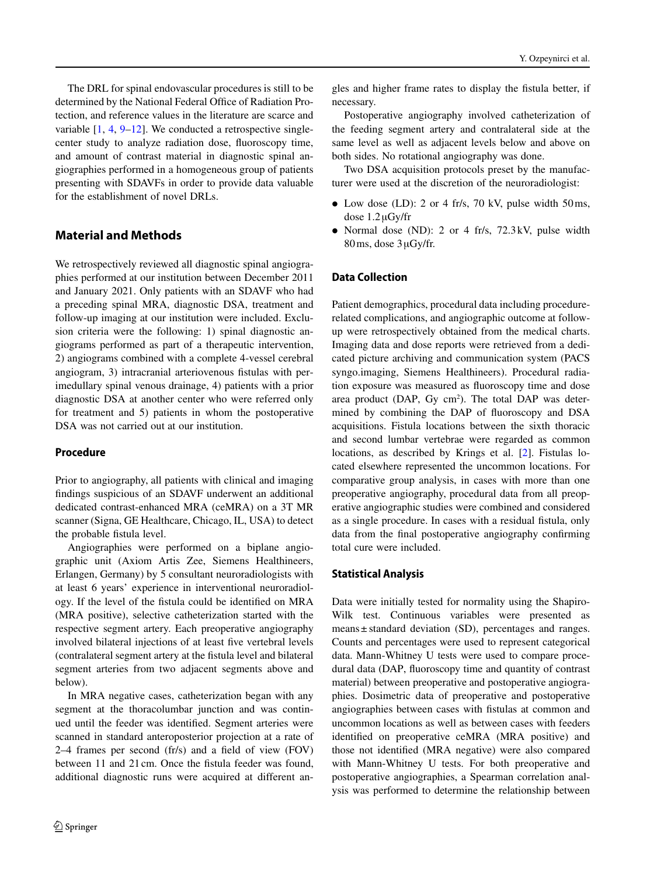The DRL for spinal endovascular procedures is still to be determined by the National Federal Office of Radiation Protection, and reference values in the literature are scarce and variable  $[1, 4, 9-12]$  $[1, 4, 9-12]$  $[1, 4, 9-12]$  $[1, 4, 9-12]$  $[1, 4, 9-12]$ . We conducted a retrospective singlecenter study to analyze radiation dose, fluoroscopy time, and amount of contrast material in diagnostic spinal angiographies performed in a homogeneous group of patients presenting with SDAVFs in order to provide data valuable for the establishment of novel DRLs.

# **Material and Methods**

We retrospectively reviewed all diagnostic spinal angiographies performed at our institution between December 2011 and January 2021. Only patients with an SDAVF who had a preceding spinal MRA, diagnostic DSA, treatment and follow-up imaging at our institution were included. Exclusion criteria were the following: 1) spinal diagnostic angiograms performed as part of a therapeutic intervention, 2) angiograms combined with a complete 4-vessel cerebral angiogram, 3) intracranial arteriovenous fistulas with perimedullary spinal venous drainage, 4) patients with a prior diagnostic DSA at another center who were referred only for treatment and 5) patients in whom the postoperative DSA was not carried out at our institution.

#### **Procedure**

Prior to angiography, all patients with clinical and imaging findings suspicious of an SDAVF underwent an additional dedicated contrast-enhanced MRA (ceMRA) on a 3T MR scanner (Signa, GE Healthcare, Chicago, IL, USA) to detect the probable fistula level.

Angiographies were performed on a biplane angiographic unit (Axiom Artis Zee, Siemens Healthineers, Erlangen, Germany) by 5 consultant neuroradiologists with at least 6 years' experience in interventional neuroradiology. If the level of the fistula could be identified on MRA (MRA positive), selective catheterization started with the respective segment artery. Each preoperative angiography involved bilateral injections of at least five vertebral levels (contralateral segment artery at the fistula level and bilateral segment arteries from two adjacent segments above and below).

In MRA negative cases, catheterization began with any segment at the thoracolumbar junction and was continued until the feeder was identified. Segment arteries were scanned in standard anteroposterior projection at a rate of 2–4 frames per second (fr/s) and a field of view (FOV) between 11 and 21 cm. Once the fistula feeder was found, additional diagnostic runs were acquired at different angles and higher frame rates to display the fistula better, if necessary.

Postoperative angiography involved catheterization of the feeding segment artery and contralateral side at the same level as well as adjacent levels below and above on both sides. No rotational angiography was done.

Two DSA acquisition protocols preset by the manufacturer were used at the discretion of the neuroradiologist:

- Low dose (LD): 2 or 4 fr/s, 70 kV, pulse width 50 ms, dose 1.2μGy/fr
- Normal dose (ND): 2 or 4 fr/s, 72.3 kV, pulse width 80ms, dose 3μGy/fr.

## **Data Collection**

Patient demographics, procedural data including procedurerelated complications, and angiographic outcome at followup were retrospectively obtained from the medical charts. Imaging data and dose reports were retrieved from a dedicated picture archiving and communication system (PACS syngo.imaging, Siemens Healthineers). Procedural radiation exposure was measured as fluoroscopy time and dose area product  $(DAP, Gy cm<sup>2</sup>)$ . The total DAP was determined by combining the DAP of fluoroscopy and DSA acquisitions. Fistula locations between the sixth thoracic and second lumbar vertebrae were regarded as common locations, as described by Krings et al. [\[2\]](#page-5-1). Fistulas located elsewhere represented the uncommon locations. For comparative group analysis, in cases with more than one preoperative angiography, procedural data from all preoperative angiographic studies were combined and considered as a single procedure. In cases with a residual fistula, only data from the final postoperative angiography confirming total cure were included.

#### **Statistical Analysis**

Data were initially tested for normality using the Shapiro-Wilk test. Continuous variables were presented as means ± standard deviation (SD), percentages and ranges. Counts and percentages were used to represent categorical data. Mann-Whitney U tests were used to compare procedural data (DAP, fluoroscopy time and quantity of contrast material) between preoperative and postoperative angiographies. Dosimetric data of preoperative and postoperative angiographies between cases with fistulas at common and uncommon locations as well as between cases with feeders identified on preoperative ceMRA (MRA positive) and those not identified (MRA negative) were also compared with Mann-Whitney U tests. For both preoperative and postoperative angiographies, a Spearman correlation analysis was performed to determine the relationship between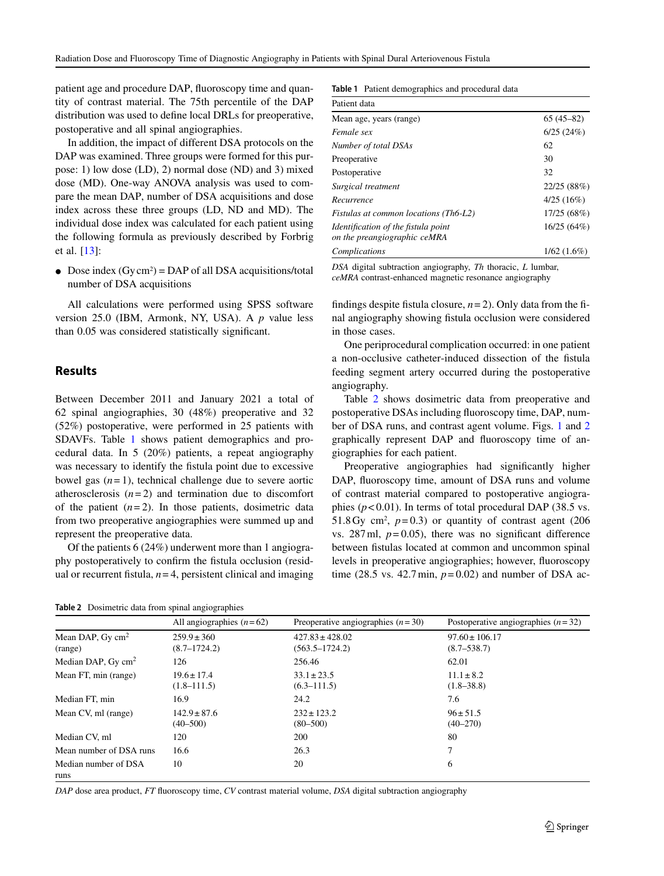patient age and procedure DAP, fluoroscopy time and quantity of contrast material. The 75th percentile of the DAP distribution was used to define local DRLs for preoperative, postoperative and all spinal angiographies.

In addition, the impact of different DSA protocols on the DAP was examined. Three groups were formed for this purpose: 1) low dose (LD), 2) normal dose (ND) and 3) mixed dose (MD). One-way ANOVA analysis was used to compare the mean DAP, number of DSA acquisitions and dose index across these three groups (LD, ND and MD). The individual dose index was calculated for each patient using the following formula as previously described by Forbrig et al. [\[13\]](#page-6-3):

• Dose index  $(Gy cm<sup>2</sup>) = DAP$  of all DSA acquisitions/total number of DSA acquisitions

All calculations were performed using SPSS software version 25.0 (IBM, Armonk, NY, USA). A *p* value less than 0.05 was considered statistically significant.

### **Results**

Between December 2011 and January 2021 a total of 62 spinal angiographies, 30 (48%) preoperative and 32 (52%) postoperative, were performed in 25 patients with SDAVFs. Table [1](#page-2-0) shows patient demographics and procedural data. In 5 (20%) patients, a repeat angiography was necessary to identify the fistula point due to excessive bowel gas  $(n=1)$ , technical challenge due to severe aortic atherosclerosis  $(n=2)$  and termination due to discomfort of the patient  $(n=2)$ . In those patients, dosimetric data from two preoperative angiographies were summed up and represent the preoperative data.

Of the patients 6 (24%) underwent more than 1 angiography postoperatively to confirm the fistula occlusion (residual or recurrent fistula,  $n = 4$ , persistent clinical and imaging

<span id="page-2-1"></span>**Table 2** Dosimetric data from spinal angiographies

<span id="page-2-0"></span>**Table 1** Patient demographics and procedural data

| Patient data                                                        |               |
|---------------------------------------------------------------------|---------------|
| Mean age, years (range)                                             | $65(45-82)$   |
| Female sex                                                          | 6/25(24%)     |
| Number of total DSAs                                                | 62            |
| Preoperative                                                        | 30            |
| Postoperative                                                       | 32            |
| Surgical treatment                                                  | 22/25 (88%)   |
| Recurrence                                                          | 4/25(16%)     |
| Fistulas at common locations (Th6-L2)                               | 17/25 (68%)   |
| Identification of the fistula point<br>on the preangiographic ceMRA | 16/25(64%)    |
| Complications                                                       | $1/62(1.6\%)$ |
|                                                                     |               |

*DSA* digital subtraction angiography, *Th* thoracic, *L* lumbar, *ceMRA* contrast-enhanced magnetic resonance angiography

findings despite fistula closure,  $n = 2$ ). Only data from the final angiography showing fistula occlusion were considered in those cases.

One periprocedural complication occurred: in one patient a non-occlusive catheter-induced dissection of the fistula feeding segment artery occurred during the postoperative angiography.

Table [2](#page-2-1) shows dosimetric data from preoperative and postoperative DSAs including fluoroscopy time, DAP, number of DSA runs, and contrast agent volume. Figs. [1](#page-3-0) and [2](#page-3-1) graphically represent DAP and fluoroscopy time of angiographies for each patient.

Preoperative angiographies had significantly higher DAP, fluoroscopy time, amount of DSA runs and volume of contrast material compared to postoperative angiographies  $(p<0.01)$ . In terms of total procedural DAP (38.5 vs. 51.8 Gy cm<sup>2</sup>,  $p=0.3$ ) or quantity of contrast agent (206) vs.  $287 \text{ ml}$ ,  $p = 0.05$ ), there was no significant difference between fistulas located at common and uncommon spinal levels in preoperative angiographies; however, fluoroscopy time (28.5 vs. 42.7 min,  $p=0.02$ ) and number of DSA ac-

|                                       | All angiographies $(n=62)$          | Preoperative angiographies $(n=30)$       | Postoperative angiographies $(n=32)$  |
|---------------------------------------|-------------------------------------|-------------------------------------------|---------------------------------------|
| Mean DAP, Gy $\text{cm}^2$<br>(range) | $259.9 \pm 360$<br>$(8.7 - 1724.2)$ | $427.83 \pm 428.02$<br>$(563.5 - 1724.2)$ | $97.60 \pm 106.17$<br>$(8.7 - 538.7)$ |
| Median DAP, $Gy$ cm <sup>2</sup>      | 126                                 | 256.46                                    | 62.01                                 |
| Mean FT, min (range)                  | $19.6 \pm 17.4$<br>$(1.8 - 111.5)$  | $33.1 \pm 23.5$<br>$(6.3 - 111.5)$        | $11.1 \pm 8.2$<br>$(1.8 - 38.8)$      |
| Median FT, min                        | 16.9                                | 24.2                                      | 7.6                                   |
| Mean CV, ml (range)                   | $142.9 \pm 87.6$<br>$(40 - 500)$    | $232 \pm 123.2$<br>$(80 - 500)$           | $96 \pm 51.5$<br>$(40 - 270)$         |
| Median CV, ml                         | 120                                 | 200                                       | 80                                    |
| Mean number of DSA runs               | 16.6                                | 26.3                                      | 7                                     |
| Median number of DSA<br>runs          | 10                                  | 20                                        | 6                                     |

*DAP* dose area product, *FT* fluoroscopy time, *CV* contrast material volume, *DSA* digital subtraction angiography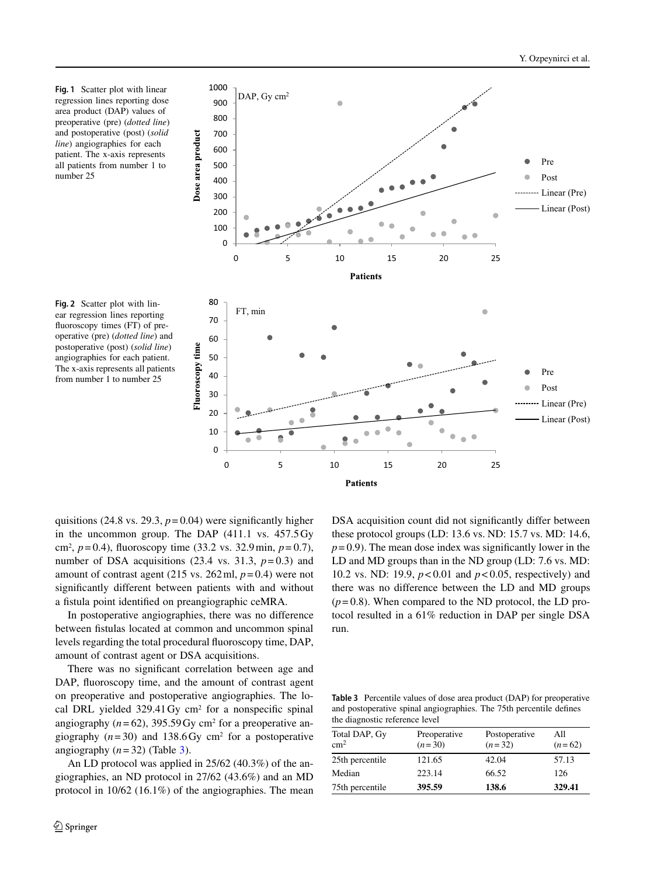<span id="page-3-0"></span>**Fig. 1** Scatter plot with linear regression lines reporting dose area product (DAP) values of preoperative (pre) (*dotted line*) and postoperative (post) (*solid line*) angiographies for each patient. The x-axis represents all patients from number 1 to number 25

<span id="page-3-1"></span>



quisitions (24.8 vs. 29.3,  $p = 0.04$ ) were significantly higher in the uncommon group. The DAP (411.1 vs. 457.5 Gy cm2, *p*= 0.4), fluoroscopy time (33.2 vs. 32.9min, *p*= 0.7), number of DSA acquisitions  $(23.4 \text{ vs. } 31.3, p=0.3)$  and amount of contrast agent (215 vs.  $262 \text{ ml}, p = 0.4$ ) were not significantly different between patients with and without a fistula point identified on preangiographic ceMRA.

In postoperative angiographies, there was no difference between fistulas located at common and uncommon spinal levels regarding the total procedural fluoroscopy time, DAP, amount of contrast agent or DSA acquisitions.

There was no significant correlation between age and DAP, fluoroscopy time, and the amount of contrast agent on preoperative and postoperative angiographies. The local DRL yielded 329.41 Gy cm<sup>2</sup> for a nonspecific spinal angiography  $(n=62)$ , 395.59 Gy cm<sup>2</sup> for a preoperative angiography  $(n=30)$  and 138.6 Gy cm<sup>2</sup> for a postoperative angiography  $(n=32)$  (Table [3\)](#page-3-2).

An LD protocol was applied in 25/62 (40.3%) of the angiographies, an ND protocol in 27/62 (43.6%) and an MD protocol in 10/62 (16.1%) of the angiographies. The mean DSA acquisition count did not significantly differ between these protocol groups (LD: 13.6 vs. ND: 15.7 vs. MD: 14.6,  $p=0.9$ ). The mean dose index was significantly lower in the LD and MD groups than in the ND group (LD: 7.6 vs. MD: 10.2 vs. ND: 19.9, *p*< 0.01 and *p*< 0.05, respectively) and there was no difference between the LD and MD groups  $(p=0.8)$ . When compared to the ND protocol, the LD protocol resulted in a 61% reduction in DAP per single DSA run.

**Table 3** Percentile values of dose area product (DAP) for preoperative and postoperative spinal angiographies. The 75th percentile defines the diagnostic reference level

<span id="page-3-2"></span>

| Total DAP, Gy<br>$\rm cm^2$ | Preoperative<br>$(n=30)$ | Postoperative<br>$(n=32)$ | All<br>$(n=62)$ |
|-----------------------------|--------------------------|---------------------------|-----------------|
| 25th percentile             | 121.65                   | 42.04                     | 57.13           |
| Median                      | 223.14                   | 66.52                     | 126             |
| 75th percentile             | 395.59                   | 138.6                     | 329.41          |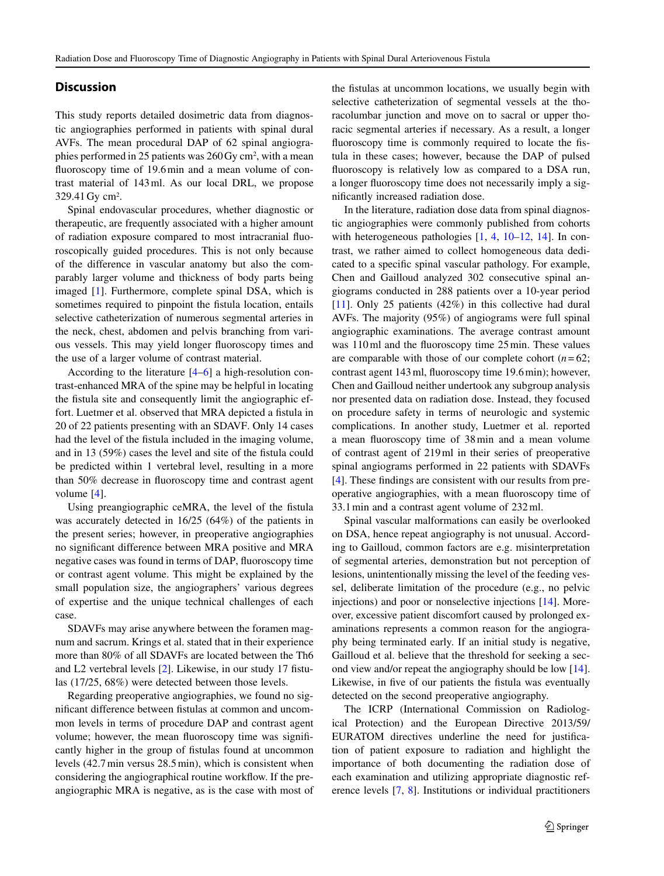### **Discussion**

This study reports detailed dosimetric data from diagnostic angiographies performed in patients with spinal dural AVFs. The mean procedural DAP of 62 spinal angiographies performed in 25 patients was 260 Gy cm<sup>2</sup>, with a mean fluoroscopy time of 19.6min and a mean volume of contrast material of 143ml. As our local DRL, we propose 329.41 Gy cm<sup>2</sup>.

Spinal endovascular procedures, whether diagnostic or therapeutic, are frequently associated with a higher amount of radiation exposure compared to most intracranial fluoroscopically guided procedures. This is not only because of the difference in vascular anatomy but also the comparably larger volume and thickness of body parts being imaged [\[1\]](#page-5-0). Furthermore, complete spinal DSA, which is sometimes required to pinpoint the fistula location, entails selective catheterization of numerous segmental arteries in the neck, chest, abdomen and pelvis branching from various vessels. This may yield longer fluoroscopy times and the use of a larger volume of contrast material.

According to the literature [\[4–](#page-5-3)[6\]](#page-5-4) a high-resolution contrast-enhanced MRA of the spine may be helpful in locating the fistula site and consequently limit the angiographic effort. Luetmer et al. observed that MRA depicted a fistula in 20 of 22 patients presenting with an SDAVF. Only 14 cases had the level of the fistula included in the imaging volume, and in 13 (59%) cases the level and site of the fistula could be predicted within 1 vertebral level, resulting in a more than 50% decrease in fluoroscopy time and contrast agent volume [\[4\]](#page-5-3).

Using preangiographic ceMRA, the level of the fistula was accurately detected in 16/25 (64%) of the patients in the present series; however, in preoperative angiographies no significant difference between MRA positive and MRA negative cases was found in terms of DAP, fluoroscopy time or contrast agent volume. This might be explained by the small population size, the angiographers' various degrees of expertise and the unique technical challenges of each case.

SDAVFs may arise anywhere between the foramen magnum and sacrum. Krings et al. stated that in their experience more than 80% of all SDAVFs are located between the Th6 and L2 vertebral levels [\[2\]](#page-5-1). Likewise, in our study 17 fistulas (17/25, 68%) were detected between those levels.

Regarding preoperative angiographies, we found no significant difference between fistulas at common and uncommon levels in terms of procedure DAP and contrast agent volume; however, the mean fluoroscopy time was significantly higher in the group of fistulas found at uncommon levels (42.7min versus 28.5min), which is consistent when considering the angiographical routine workflow. If the preangiographic MRA is negative, as is the case with most of the fistulas at uncommon locations, we usually begin with selective catheterization of segmental vessels at the thoracolumbar junction and move on to sacral or upper thoracic segmental arteries if necessary. As a result, a longer fluoroscopy time is commonly required to locate the fistula in these cases; however, because the DAP of pulsed fluoroscopy is relatively low as compared to a DSA run, a longer fluoroscopy time does not necessarily imply a significantly increased radiation dose.

In the literature, radiation dose data from spinal diagnostic angiographies were commonly published from cohorts with heterogeneous pathologies [\[1,](#page-5-0) [4,](#page-5-3) [10](#page-6-4)[–12,](#page-6-2) [14\]](#page-6-5). In contrast, we rather aimed to collect homogeneous data dedicated to a specific spinal vascular pathology. For example, Chen and Gailloud analyzed 302 consecutive spinal angiograms conducted in 288 patients over a 10-year period [\[11\]](#page-6-6). Only 25 patients (42%) in this collective had dural AVFs. The majority (95%) of angiograms were full spinal angiographic examinations. The average contrast amount was 110ml and the fluoroscopy time 25min. These values are comparable with those of our complete cohort  $(n=62;$ contrast agent 143ml, fluoroscopy time 19.6min); however, Chen and Gailloud neither undertook any subgroup analysis nor presented data on radiation dose. Instead, they focused on procedure safety in terms of neurologic and systemic complications. In another study, Luetmer et al. reported a mean fluoroscopy time of 38min and a mean volume of contrast agent of 219ml in their series of preoperative spinal angiograms performed in 22 patients with SDAVFs [\[4\]](#page-5-3). These findings are consistent with our results from preoperative angiographies, with a mean fluoroscopy time of 33.1min and a contrast agent volume of 232ml.

Spinal vascular malformations can easily be overlooked on DSA, hence repeat angiography is not unusual. According to Gailloud, common factors are e.g. misinterpretation of segmental arteries, demonstration but not perception of lesions, unintentionally missing the level of the feeding vessel, deliberate limitation of the procedure (e.g., no pelvic injections) and poor or nonselective injections [\[14\]](#page-6-5). Moreover, excessive patient discomfort caused by prolonged examinations represents a common reason for the angiography being terminated early. If an initial study is negative, Gailloud et al. believe that the threshold for seeking a second view and/or repeat the angiography should be low [\[14\]](#page-6-5). Likewise, in five of our patients the fistula was eventually detected on the second preoperative angiography.

The ICRP (International Commission on Radiological Protection) and the European Directive 2013/59/ EURATOM directives underline the need for justification of patient exposure to radiation and highlight the importance of both documenting the radiation dose of each examination and utilizing appropriate diagnostic reference levels [\[7,](#page-5-5) [8\]](#page-6-0). Institutions or individual practitioners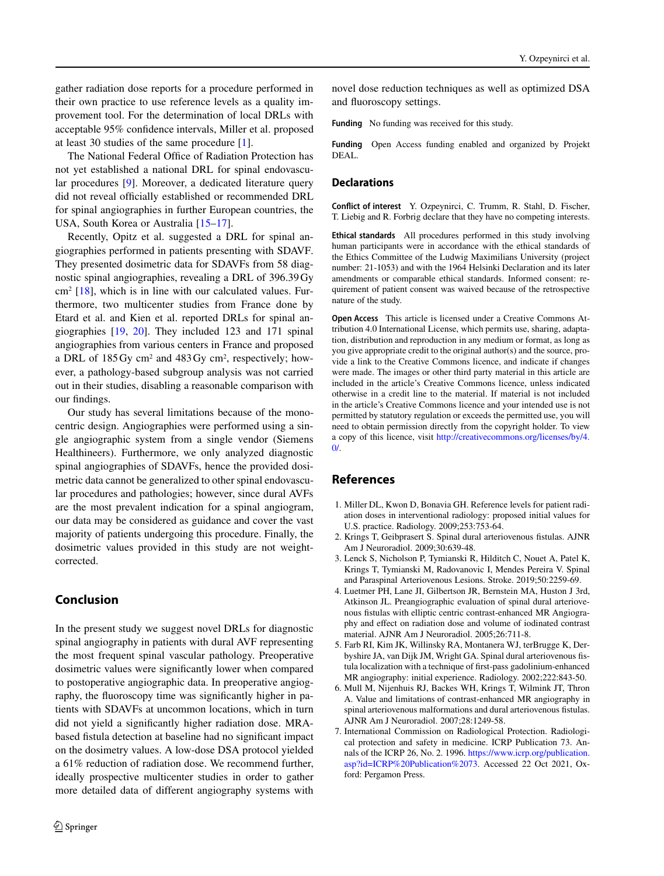gather radiation dose reports for a procedure performed in their own practice to use reference levels as a quality improvement tool. For the determination of local DRLs with acceptable 95% confidence intervals, Miller et al. proposed at least 30 studies of the same procedure [\[1\]](#page-5-0).

The National Federal Office of Radiation Protection has not yet established a national DRL for spinal endovascular procedures [\[9\]](#page-6-1). Moreover, a dedicated literature query did not reveal officially established or recommended DRL for spinal angiographies in further European countries, the USA, South Korea or Australia [\[15](#page-6-7)[–17\]](#page-6-8).

Recently, Opitz et al. suggested a DRL for spinal angiographies performed in patients presenting with SDAVF. They presented dosimetric data for SDAVFs from 58 diagnostic spinal angiographies, revealing a DRL of 396.39 Gy  $cm<sup>2</sup>$  [\[18\]](#page-6-9), which is in line with our calculated values. Furthermore, two multicenter studies from France done by Etard et al. and Kien et al. reported DRLs for spinal angiographies [\[19,](#page-6-10) [20\]](#page-6-11). They included 123 and 171 spinal angiographies from various centers in France and proposed a DRL of  $185 \text{ Gy cm}^2$  and  $483 \text{ Gy cm}^2$ , respectively; however, a pathology-based subgroup analysis was not carried out in their studies, disabling a reasonable comparison with our findings.

Our study has several limitations because of the monocentric design. Angiographies were performed using a single angiographic system from a single vendor (Siemens Healthineers). Furthermore, we only analyzed diagnostic spinal angiographies of SDAVFs, hence the provided dosimetric data cannot be generalized to other spinal endovascular procedures and pathologies; however, since dural AVFs are the most prevalent indication for a spinal angiogram, our data may be considered as guidance and cover the vast majority of patients undergoing this procedure. Finally, the dosimetric values provided in this study are not weightcorrected.

## **Conclusion**

In the present study we suggest novel DRLs for diagnostic spinal angiography in patients with dural AVF representing the most frequent spinal vascular pathology. Preoperative dosimetric values were significantly lower when compared to postoperative angiographic data. In preoperative angiography, the fluoroscopy time was significantly higher in patients with SDAVFs at uncommon locations, which in turn did not yield a significantly higher radiation dose. MRAbased fistula detection at baseline had no significant impact on the dosimetry values. A low-dose DSA protocol yielded a 61% reduction of radiation dose. We recommend further, ideally prospective multicenter studies in order to gather more detailed data of different angiography systems with

novel dose reduction techniques as well as optimized DSA and fluoroscopy settings.

**Funding** No funding was received for this study.

**Funding** Open Access funding enabled and organized by Projekt DEAL.

#### **Declarations**

**Conflict of interest** Y. Ozpeynirci, C. Trumm, R. Stahl, D. Fischer, T. Liebig and R. Forbrig declare that they have no competing interests.

**Ethical standards** All procedures performed in this study involving human participants were in accordance with the ethical standards of the Ethics Committee of the Ludwig Maximilians University (project number: 21-1053) and with the 1964 Helsinki Declaration and its later amendments or comparable ethical standards. Informed consent: requirement of patient consent was waived because of the retrospective nature of the study.

**Open Access** This article is licensed under a Creative Commons Attribution 4.0 International License, which permits use, sharing, adaptation, distribution and reproduction in any medium or format, as long as you give appropriate credit to the original author(s) and the source, provide a link to the Creative Commons licence, and indicate if changes were made. The images or other third party material in this article are included in the article's Creative Commons licence, unless indicated otherwise in a credit line to the material. If material is not included in the article's Creative Commons licence and your intended use is not permitted by statutory regulation or exceeds the permitted use, you will need to obtain permission directly from the copyright holder. To view a copy of this licence, visit [http://creativecommons.org/licenses/by/4.](http://creativecommons.org/licenses/by/4.0/)  $\Omega$ 

#### **References**

- <span id="page-5-0"></span>1. Miller DL, Kwon D, Bonavia GH. Reference levels for patient radiation doses in interventional radiology: proposed initial values for U.S. practice. Radiology. 2009;253:753-64.
- <span id="page-5-2"></span><span id="page-5-1"></span>2. Krings T, Geibprasert S. Spinal dural arteriovenous fistulas. AJNR Am J Neuroradiol. 2009;30:639-48.
- 3. Lenck S, Nicholson P, Tymianski R, Hilditch C, Nouet A, Patel K, Krings T, Tymianski M, Radovanovic I, Mendes Pereira V. Spinal and Paraspinal Arteriovenous Lesions. Stroke. 2019;50:2259-69.
- <span id="page-5-3"></span>4. Luetmer PH, Lane JI, Gilbertson JR, Bernstein MA, Huston J 3rd, Atkinson JL. Preangiographic evaluation of spinal dural arteriovenous fistulas with elliptic centric contrast-enhanced MR Angiography and effect on radiation dose and volume of iodinated contrast material. AJNR Am J Neuroradiol. 2005;26:711-8.
- 5. Farb RI, Kim JK, Willinsky RA, Montanera WJ, terBrugge K, Derbyshire JA, van Dijk JM, Wright GA. Spinal dural arteriovenous fistula localization with a technique of first-pass gadolinium-enhanced MR angiography: initial experience. Radiology. 2002;222:843-50.
- <span id="page-5-4"></span>6. Mull M, Nijenhuis RJ, Backes WH, Krings T, Wilmink JT, Thron A. Value and limitations of contrast-enhanced MR angiography in spinal arteriovenous malformations and dural arteriovenous fistulas. AJNR Am J Neuroradiol. 2007;28:1249-58.
- <span id="page-5-5"></span>7. International Commission on Radiological Protection. Radiological protection and safety in medicine. ICRP Publication 73. Annals of the ICRP 26, No. 2. 1996. [https://www.icrp.org/publication.](https://www.icrp.org/publication.asp?id=ICRP%20Publication%2073) [asp?id=ICRP%20Publication%2073.](https://www.icrp.org/publication.asp?id=ICRP%20Publication%2073) Accessed 22 Oct 2021, Oxford: Pergamon Press.